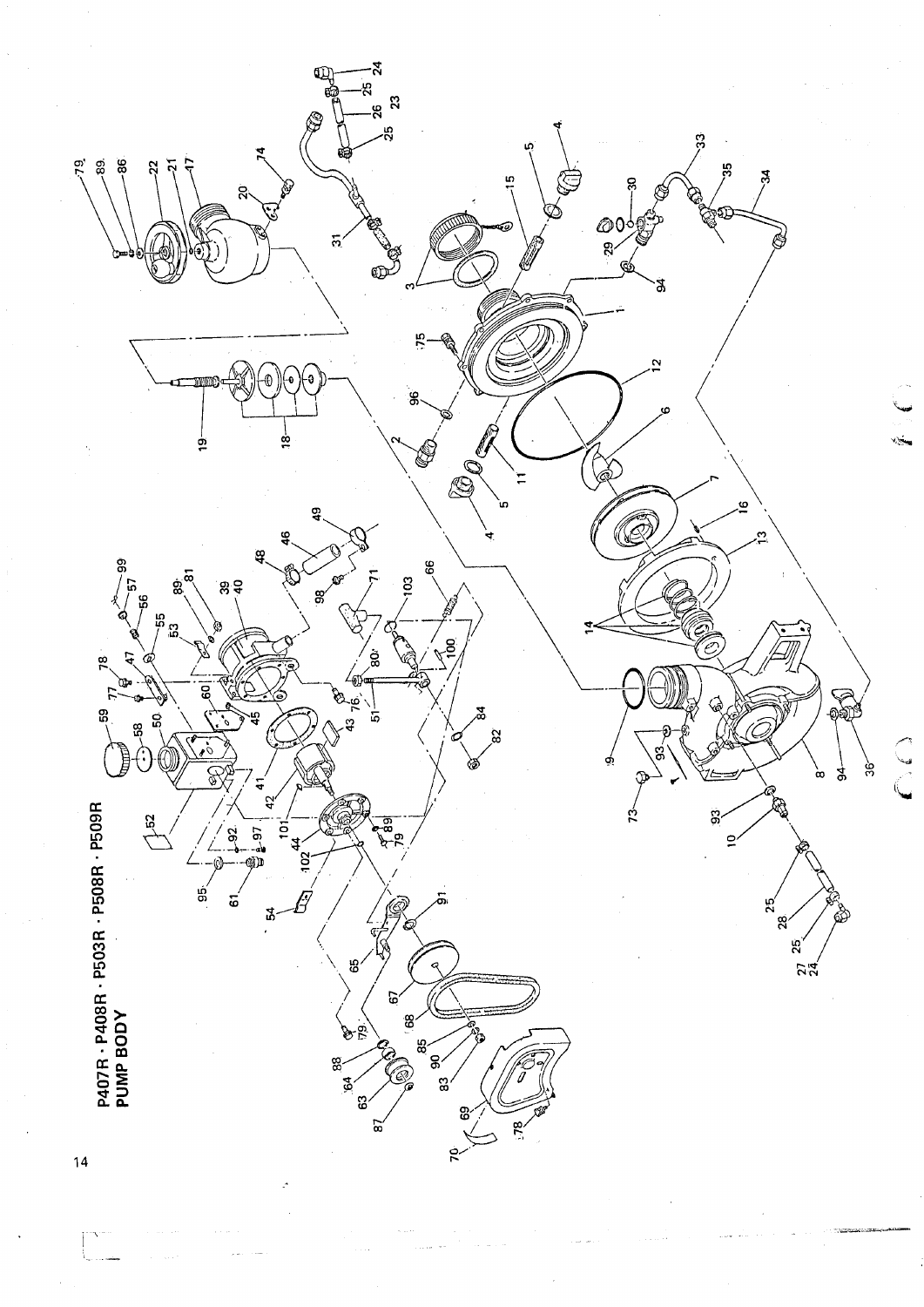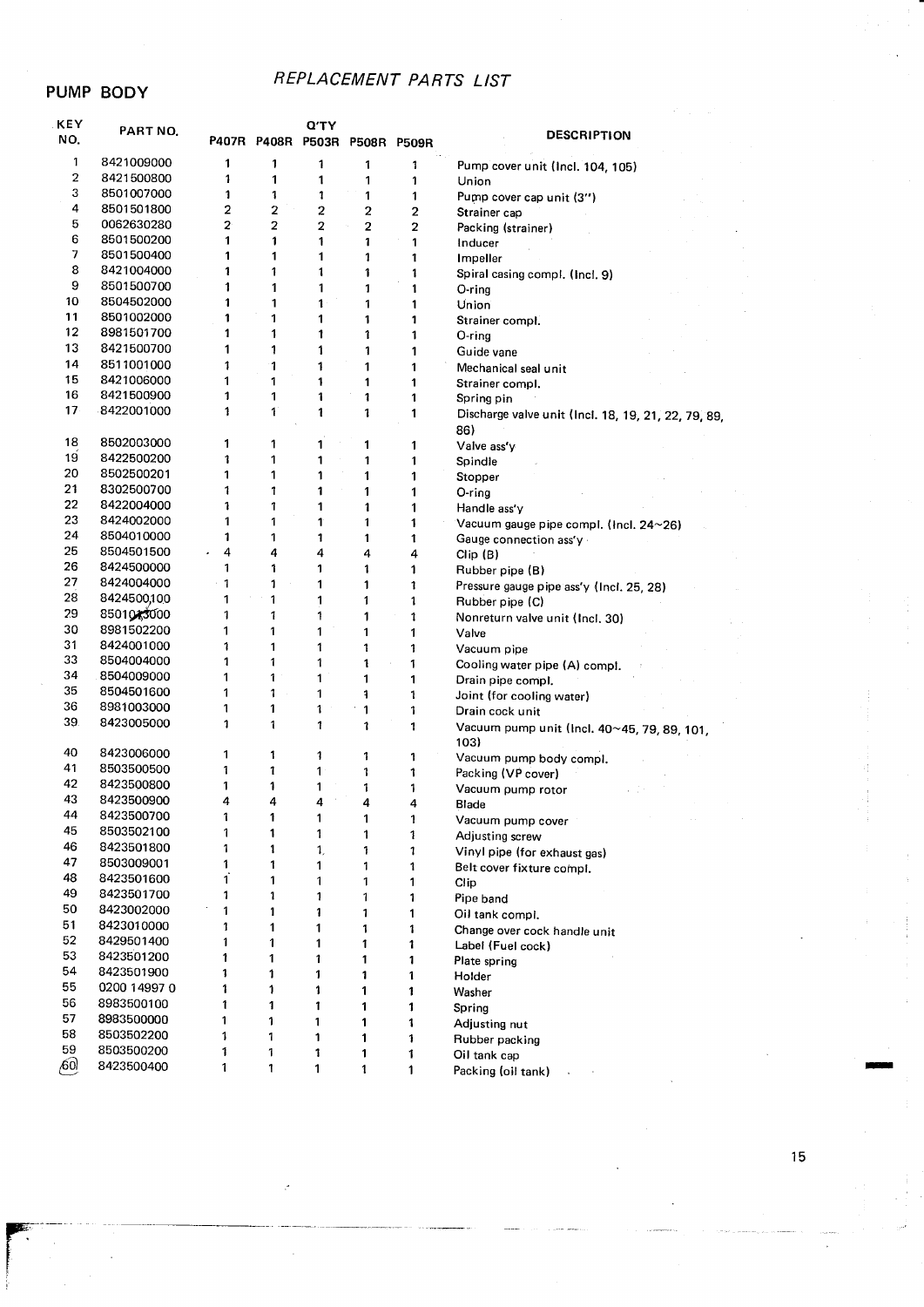#### PUMP BODY

### REPLACEMENT PARTS LIST

| KEY<br>NO.      | PART NO.                 |                      | P407R P408R P503R P508R P509R | <b>Q'TY</b>    |        |        | <b>DESCRIPTION</b>                                  |
|-----------------|--------------------------|----------------------|-------------------------------|----------------|--------|--------|-----------------------------------------------------|
| 1               | 8421009000               | 1                    | 1                             | 1              | 1      | 1      |                                                     |
| $\overline{c}$  | 8421500800               | 1                    | 1                             | 1              | 1      | 1      | Pump cover unit (Incl. 104, 105)<br>Union           |
| 3               | 8501007000               | 1                    | 1                             | 1              | 1      | 1      | Pump cover cap unit (3")                            |
| 4               | 8501501800               | $\overline{2}$       | $\overline{2}$                | $\overline{2}$ | 2      | 2      | Strainer cap                                        |
| 5               | 0062630280               | $\mathbf{2}^{\circ}$ | $\overline{2}$                | $\overline{2}$ | 2      | 2      | Packing (strainer)                                  |
| 6               | 8501500200               | 1                    | 1                             | 1              | 1      | 1      | Inducer                                             |
| 7               | 8501500400               | 1                    | 1                             | 1              | 1      | 1      | Impeller                                            |
| 8               | 8421004000               | 1                    | 1                             | 1              | 1      | 1      | Spiral casing compl. (Incl. 9)                      |
| 9               | 8501500700               | 1                    | 1                             | 1              | 1      | 1      | $O$ -ring                                           |
| 10              | 8504502000               | 1                    | 1                             | 1              | 1      | 1      | Union                                               |
| 11              | 8501002000               | 1                    | 1                             | 1              | 1      | 1      | Strainer compl.                                     |
| 12              | 8981501700               | 1                    | 1                             | 1              | 1      | 1      | O-rina                                              |
| 13              | 8421500700               | 1                    | 1                             | 1              | 1      | 1      | Guide vane                                          |
| 14              | 8511001000               | 1                    | 1                             | 1              | 1      | 1      | Mechanical seal unit                                |
| 15              | 8421006000               | 1                    | 1                             | 1              | 1      | 1      | Strainer compl,                                     |
| 16              | 8421500900               | 1                    | 1                             | 1              | 1      | 1      | Spring pin                                          |
| 17 <sub>2</sub> | 8422001000               | 1                    | 1                             | 1              | 1      | 1      | Discharge valve unit (Incl. 18, 19, 21, 22, 79, 89, |
|                 |                          |                      |                               |                |        |        | 86)                                                 |
| 18              | 8502003000               | 1                    | 1                             | 1              | 1      | 1      | Valve ass'y                                         |
| 19              | 8422500200               | 1                    | 1                             | 1              | 1      | 1      | Spindle                                             |
| 20              | 8502500201               | 1                    | 1                             | 1              | 1      | 1      | Stopper                                             |
| 21              | 8302500700               | 1                    | 1                             | 1              | 1      | 1      | O-ring                                              |
| 22              | 8422004000               | 1                    | 1                             | 1              | 1      | 1      | Handle ass'y                                        |
| 23              | 8424002000               | 1                    | 1                             | 1              | 1      | 1      | Vacuum gauge pipe compl. (Incl. 24~26)              |
| 24              | 8504010000               | 1                    | 1                             | 1              | 1      | 1      | Gauge connection ass'y                              |
| 25              | 8504501500               | 4                    | 4                             | 4              | 4      | 4      | Clip(B)                                             |
| 26              | 8424500000               | 1                    | 1                             | 1              | 1      | 1      | Rubber pipe (B)                                     |
| 27              | 8424004000               | 1                    | 1                             | 1              | 1      | 1      | Pressure gauge pipe ass'y (Incl. 25, 28)            |
| 28              | 8424500,100              | 1                    | 1                             | 1              | 1      | 1      | Rubber pipe (C)                                     |
| 29              | 8501043000               | 1                    | 1                             | 1              | 1      | 1      | Nonreturn valve unit (Incl. 30)                     |
| 30              | 8981502200               | 1                    | 1                             | 1              | 1      | 1      | Valve                                               |
| 31<br>33        | 8424001000               | 1                    | 1                             | 1              | 1      | 1      | Vacuum pipe                                         |
| 34              | 8504004000               | 1                    | 1                             | 1              | 1      | 1      | Cooling water pipe (A) compl.                       |
| 35              | 8504009000<br>8504501600 | 1<br>1               | 1<br>1                        | 1              | 1      | 1      | Drain pipe compl.                                   |
| 36              | 8981003000               | 1                    | 1                             | 1<br>1         | 1      | 1      | Joint (for cooling water)                           |
| 39.             | 8423005000               | 1                    | 1                             |                | 1      | 1      | Drain cock unit                                     |
|                 |                          |                      |                               | 1              | 1      | 1      | Vacuum pump unit (Incl. 40~45, 79, 89, 101,<br>103) |
| 40              | 8423006000               | 1                    | 1                             | 1              | 1      | 1      | Vacuum pump body compl.                             |
| 41              | 8503500500               | 1                    | 1                             | 1              | 1      | 1      | Packing (VP cover)                                  |
| 42<br>43        | 8423500800               | 1                    | 1                             | 1              | 1      | 1      | Vacuum pump rotor                                   |
| 44              | 8423500900               | 4                    | 4                             | 4              | 4      | 4      | <b>Blade</b>                                        |
| 45              | 8423500700<br>8503502100 | 1                    | 1                             | 1              | 1      | 1      | Vacuum pump cover                                   |
| 46              | 8423501800               | 1<br>1               | 1                             | 1              | 1      | 1      | Adjusting screw                                     |
| 47              | 8503009001               | 1                    | 1<br>1                        | 1,             | 1      | 1      | Vinyl pipe (for exhaust gas)                        |
| 48              | 8423501600               | Ï.                   | 1                             | 1              | 1      | 1      | Belt cover fixture compl.                           |
| 49              | 8423501700               | 1                    | 1                             | 1              | 1      | 1      | Clip                                                |
| 50              | 8423002000               | 1                    | 1                             | 1<br>1         | 1      | 1      | Pipe band                                           |
| 51              | 8423010000               | 1                    | 1                             | 1              | 1<br>1 | 1<br>1 | Oil tank compl.                                     |
| 52              | 8429501400               | 1                    | 1                             | 1              | 1      | 1      | Change over cock handle unit<br>Label (Fuel cock)   |
| 53              | 8423501200               | 1                    | 1                             | 1              | 1      | 1      | Plate spring                                        |
| 54              | 8423501900               | 1                    | 1                             | 1              | 1      | 1      | Holder                                              |
| 55              | 0200 14997 0             | 1                    | 1                             | 1              | 1      | 1      | Washer                                              |
| 56              | 8983500100               | 1                    | 1                             | 1              | 1      | 1      | Spring                                              |
| 57              | 8983500000               | 1                    | 1                             | 1              | 1      | 1      | Adjusting nut                                       |
| 58              | 8503502200               | 1                    | 1                             | 1              | 1      | 1      | Rubber packing                                      |
| 59              | 8503500200               | 1                    | 1                             | 1              | 1      | 1      | Oil tank cap                                        |
| ,60             | 8423500400               | 1                    | 1                             | 1              | 1      | 1      | Packing (oil tank)                                  |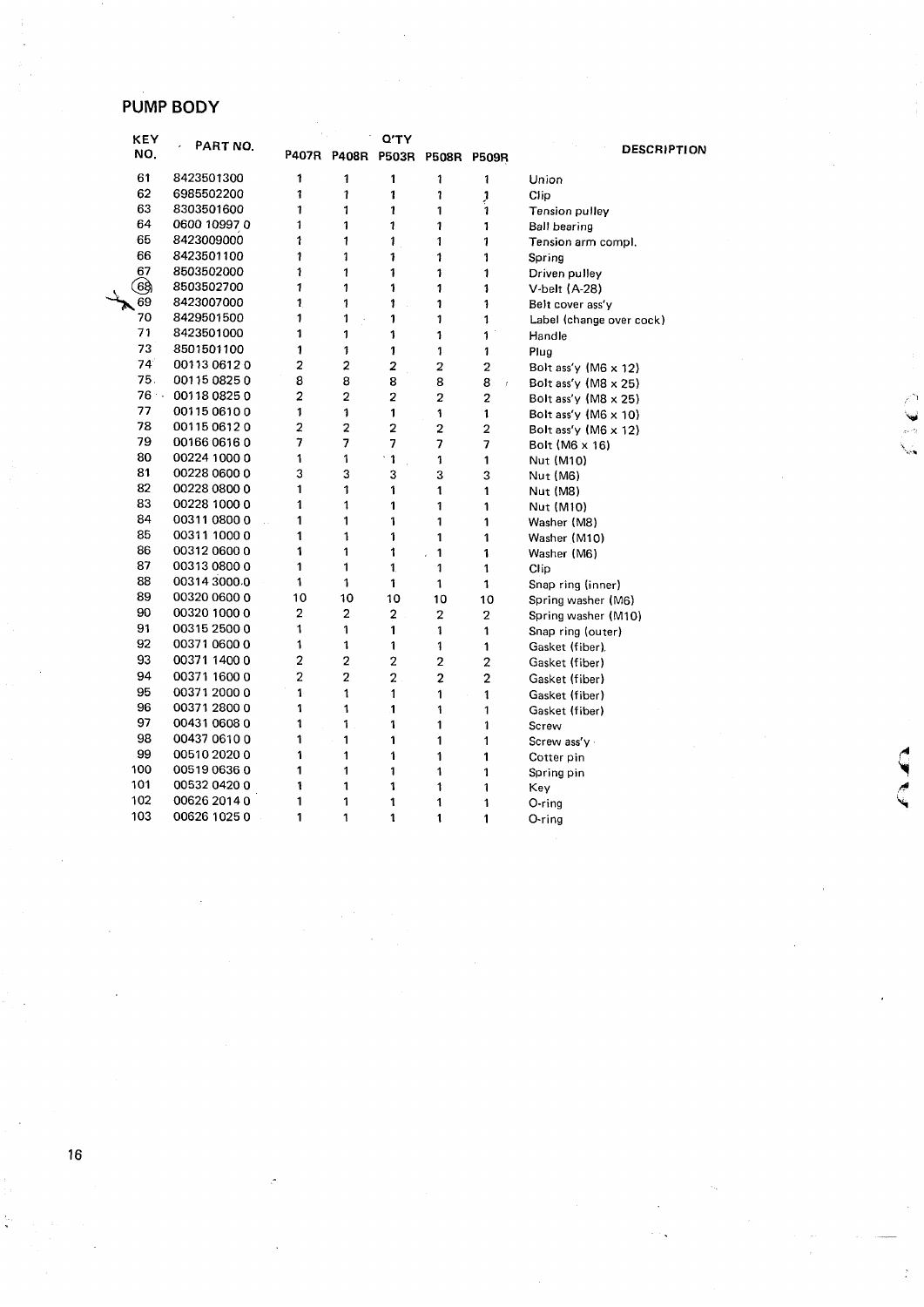## **PUMP BODY**

| <b>KEY</b> | PART NO.     |                |                | <b>Q'TY</b>             |                               |                         |                             |
|------------|--------------|----------------|----------------|-------------------------|-------------------------------|-------------------------|-----------------------------|
| NO.        |              |                |                |                         | P407R P408R P503R P508R P509R |                         | <b>DESCRIPTION</b>          |
| 61         | 8423501300   | 1              | 1              | 1                       | 1                             | 1                       | Union                       |
| 62         | 6985502200   | 1              | 1              | 1                       | 1                             | J                       | Clip                        |
| 63         | 8303501600   | 1              | 1              | 1                       | 1                             | 1                       | Tension pulley              |
| 64         | 0600 10997 0 | 1              | 1              | 1                       | 1                             | 1                       | Ball bearing                |
| 65         | 8423009000   | 1              | 1              | 1                       | 1                             | 1                       | Tension arm compl.          |
| 66         | 8423501100   | 1              | 1              | 1                       | 1                             | 1                       | Spring                      |
| 67         | 8503502000   | 1              | 1              | $\ddagger$              | 1                             | 1                       | Driven pulley               |
| ලි ද       | 8503502700   | 1              | 1              | 1                       | 1                             | 1                       | V-belt (A-28)               |
| 69         | 8423007000   | 1              | 1              | 1                       | 1                             | 1                       | Belt cover ass'y            |
| 70         | 8429501500   | 1              | 1              | 1                       | 1                             | 1                       | Label (change over cock)    |
| 71         | 8423501000   | 1              | 1              | 1                       | 1                             | 1                       | Handle                      |
| 73         | 8501501100   | 1              | 1              | 1                       | 1                             | 1                       | Plug                        |
| 74         | 00113 0612 0 | 2              | 2              | $\overline{2}$          | 2                             | $\overline{2}$          | Bolt ass'y (M6 x 12)        |
| 75.        | 00115 0825 0 | 8              | 8              | 8                       | 8                             | 8<br>y                  | Bolt ass'y $(M8 \times 25)$ |
| $76 -$     | 00118 0825 0 | $\overline{a}$ | 2              | $\overline{\mathbf{2}}$ | $\overline{a}$                | $\overline{2}$          | Bolt ass'y $(M8 \times 25)$ |
| 77         | 00115 0610 0 | 1              | 1              | 1                       | 1                             | 1                       | Bolt ass'y $(M6 \times 10)$ |
| 78         | 00115 0612 0 | 2              | $\overline{2}$ | $\overline{a}$          | $\overline{2}$                | $\overline{2}$          | Bolt ass'y (M6 $\times$ 12) |
| 79         | 00166 0616 0 | 7              | 7              | 7                       | 7                             | 7                       | Bolt (M6 x 16)              |
| 80         | 00224 1000 0 | 1              | 1              | $\mathbf{1}$            | 1                             | 1                       | Nut (M10)                   |
| 81         | 00228 0600 0 | 3              | 3              | 3                       | 3                             | 3                       | Nut (M6)                    |
| 82         | 00228 0800 0 | 1              | 1              | 1                       | 1                             | 1                       | Nut (M8)                    |
| 83         | 00228 1000 0 | 1              | 1              | 1                       | 1                             | 1                       | Nut (M10)                   |
| 84         | 00311 0800 0 | 1              | 1              | 1                       | 1                             | 1                       | Washer (M8)                 |
| 85         | 00311 1000 0 | 1              | 1              | 1                       | 1                             | 1                       | Washer (M10)                |
| 86         | 00312 0600 0 | 1              | 1              | 1                       | 1                             | 1                       | Washer (M6)                 |
| 87         | 00313 0800 0 | 1              | 1              | 1.                      | 1                             | 1                       | Clip                        |
| 88         | 00314 3000.0 | 1              | 1              | 1                       | 1                             | 1                       | Snap ring (inner)           |
| 89         | 00320 0600 0 | 10             | 10             | 10                      | 10                            | 10                      | Spring washer (M6)          |
| 90         | 00320 1000 0 | $\overline{2}$ | $\overline{c}$ | $\overline{2}$          | $\overline{2}$                | $\overline{2}$          | Spring washer (M10)         |
| 91         | 00315 2500 0 | 1              | 1              | 1                       | 1                             | 1                       | Snap ring (outer)           |
| 92         | 00371 0600 0 | 1              | 1              | 1                       | 1                             | 1                       | Gasket (fiber)              |
| 93         | 00371 1400 0 | $\overline{c}$ | $\overline{2}$ | $\overline{2}$          | $\overline{2}$                | $\overline{\mathbf{c}}$ | Gasket (fiber)              |
| 94         | 00371 1600 0 | $\overline{2}$ | 2              | $\overline{\mathbf{c}}$ | $\overline{2}$                | $\overline{2}$          | Gasket (fiber)              |
| 95         | 00371 2000 0 | 1              | 1              | 1                       | 1                             | 1                       | Gasket (fiber)              |
| 96         | 00371 2800 0 | 1              | 1              | 1                       | 1                             | 1                       | Gasket (fiber)              |
| 97         | 00431 0608 0 | 1              | 1              | 1                       | 1                             | 1                       | Screw                       |
| 98         | 00437 0610 0 | 1              | 1              | 1                       | 1                             | 1                       | Screw ass'y                 |
| 99         | 00510 2020 0 | 1              | 1              | 1                       | 1                             | 1                       | Cotter pin                  |
| 100        | 0051906360   | 1              | 1              | 1                       | 1                             | 1                       | Spring pin                  |
| 101        | 00532 0420 0 | 1              | 1              | 1                       | 1                             | 1                       | Key                         |
| 102        | 00626 2014 0 | 1              | 1              | 1                       | 1                             | 1                       | O-ring                      |
| 103        | 00626 1025 0 | 1              | 1              | 1                       | 1                             | 1                       | O-ring                      |

 $\sum_{i=1}^{\infty}$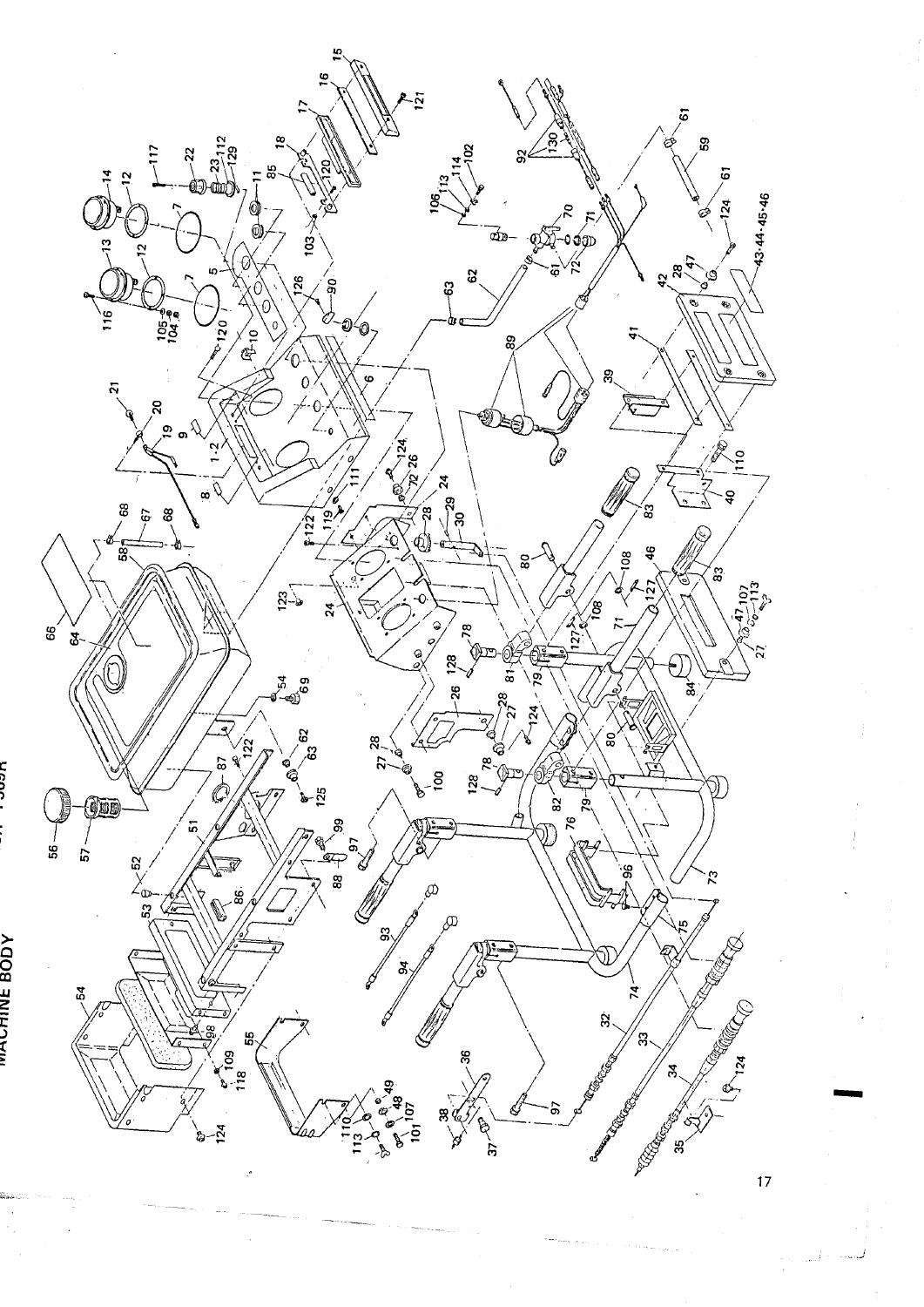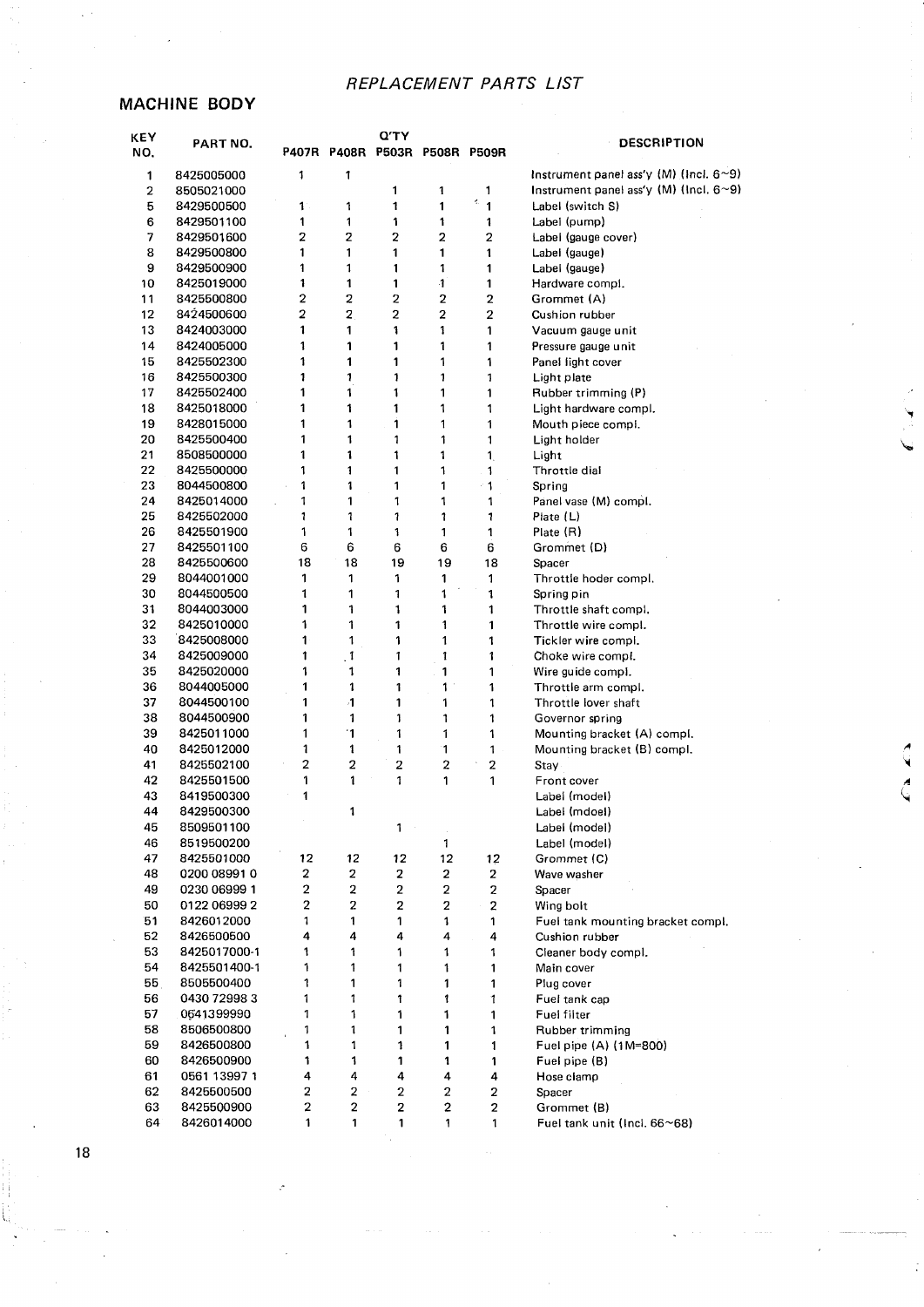#### MACHINE BODY

| KEY<br>NO.              | PART NO.                 |                         | P407R P408R P503R P508R P509R | Ο'ΤΥ                    |                         |                         | DESCRIPTION                                      |
|-------------------------|--------------------------|-------------------------|-------------------------------|-------------------------|-------------------------|-------------------------|--------------------------------------------------|
| 1                       | 8425005000               | 1                       | 1                             |                         |                         |                         | Instrument panel ass'y $(M)$ (Incl. 6~9)         |
| $\overline{\mathbf{c}}$ | 8505021000               |                         |                               | 1                       | 1                       | 1                       | Instrument panel ass'y $(M)$ (Incl. $6 \sim 9$ ) |
| 5                       | 8429500500               | $\mathbf{1}$            | 1                             | 1                       | 1                       | ¢,<br>$\mathbf{1}$      | Label (switch S)                                 |
| 6                       | 8429501100               | 1                       | 1                             | 1                       | 1                       | 1                       | Label (pump)                                     |
| 7                       | 8429501600               | 2                       | 2                             | 2                       | 2                       | 2                       | Label (gauge cover)                              |
| 8                       | 8429500800               | 1                       | 1                             | 1                       | 1                       | 1                       | Label (gauge)                                    |
| 9                       | 8429500900               | 1                       | 1                             | 1                       | $\mathbf{1}$            | 1                       | Label (gauge)                                    |
| 10                      | 8425019000               | 1                       | 1                             | 1                       | -1                      | 1                       | Hardware compi.                                  |
| 11                      | 8425500800               | 2                       | $\overline{\mathbf{c}}$       | $\overline{\mathbf{c}}$ | $\overline{2}$          | 2                       | Grommet (A)                                      |
| 12                      | 8424500600               | $\overline{2}$          | $\mathbf 2$                   | 2                       | 2                       | 2                       | Cushion rubber                                   |
| 13                      | 8424003000               | 1                       | 1                             | 1                       | 1                       | 1                       | Vacuum gauge unit                                |
| 14                      | 8424005000               | 1                       | 1                             | 1                       | 1                       | 1                       | Pressure gauge unit                              |
| 15                      | 8425502300               | 1<br>1                  | 1                             | 1<br>1                  | 1<br>1                  | 1                       | Panel light cover                                |
| 16<br>17                | 8425500300<br>8425502400 | 1                       | 1<br>1                        | 1                       | 1                       | 1<br>1                  | Light plate                                      |
| 18                      | 8425018000               | 1                       | 1                             | 1                       | 1                       | 1                       | Rubber trimming (P)<br>Light hardware compl.     |
| 19                      | 8428015000               | 1                       | 1                             | 1                       | 1                       | 1                       | Mouth piece compi.                               |
| 20                      | 8425500400               | 1                       | 1                             | 1                       | 1                       | 1                       | Light holder                                     |
| 21                      | 8508500000               | 1                       | 1                             | 1                       | 1                       | $\mathbf{1}$            | Light                                            |
| 22                      | 8425500000               | 1                       | 1                             | 1                       | 1                       | $\mathbf{1}$            | Throttle dial                                    |
| 23                      | 8044500800               | 1                       | 1                             | 1                       | 1                       | - 1                     | Spring                                           |
| 24                      | 8425014000               | 1                       | 1                             | 1                       | 1                       | 1                       | Panel vase (M) compl.                            |
| 25                      | 8425502000               | 1                       | 1                             | 1                       | 1                       | 1                       | Plate $(L)$                                      |
| 26                      | 8425501900               | 1                       | 1                             | 1                       | 1                       | 1                       | Plate (R)                                        |
| 27                      | 8425501100               | 6                       | 6                             | 6                       | 6                       | 6                       | Grommet (D)                                      |
| 28                      | 8425500600               | 18                      | 18                            | 19                      | 19                      | 18                      | Spacer                                           |
| 29                      | 8044001000               | 1                       | 1                             | 1                       | 1                       | 1                       | Throttle hoder compl.                            |
| 30                      | 8044500500               | 1                       | 1                             | 1                       | 1                       | 1                       | Spring pin                                       |
| 31                      | 8044003000               | 1                       | 1                             | 1                       | 1                       | 1                       | Throttle shaft compl.                            |
| 32                      | 8425010000               | 1                       | 1                             | 1                       | 1                       | 1                       | Throttle wire compl.                             |
| 33                      | 8425008000               | 1                       | 1                             | 1                       | 1                       | 1                       | Tickler wire compl.                              |
| 34                      | 8425009000               | 1                       | $\overline{1}$                | 1                       | 1                       | 1                       | Choke wire compl.                                |
| 35                      | 8425020000               | 1                       | 1                             | 1                       | 1                       | 1                       | Wire guide compi.                                |
| 36<br>37                | 8044005000               | 1<br>1                  | 1<br>$\mathbf{1}$             | 1<br>1                  | 1<br>1                  | 1<br>1                  | Throttle arm compl.<br>Throttle lover shaft      |
| 38                      | 8044500100<br>8044500900 | 1                       | 1                             | 1                       | 1                       | 1                       | Governor spring                                  |
| 39                      | 8425011000               | 1                       | 1                             | 1                       | 1                       | 1                       | Mounting bracket (A) compl.                      |
| 40                      | 8425012000               | 1                       | 1                             | 1                       | 1                       | 1                       | Mounting bracket (B) compl.                      |
| 41                      | 8425502100               | 2                       | $\mathbf 2$                   | $\overline{\mathbf{c}}$ | $\overline{\mathbf{c}}$ | $\overline{c}$          | Stay                                             |
| 42                      | 8425501500               | 1                       | 1                             | 1                       | 1                       | 1                       | Front cover                                      |
| 43                      | 8419500300               | 1                       |                               |                         |                         |                         | Label (model)                                    |
| 44                      | 8429500300               |                         | 1                             |                         |                         |                         | Label (mdoel)                                    |
| 45                      | 8509501100               |                         |                               | 1                       |                         |                         | Label (model)                                    |
| 46                      | 8519500200               |                         |                               |                         | 1                       |                         | Label (model)                                    |
| 47                      | 8425501000               | 12                      | 12                            | 12                      | 12                      | 12                      | Grommet (C)                                      |
| 48                      | 0200 08991 0             | 2                       | $\overline{\mathbf{c}}$       | $\mathbf 2$             | $\overline{a}$          | $\overline{2}$          | Wave washer                                      |
| 49                      | 0230 06999 1             | $\mathbf 2$             | $\boldsymbol{2}$              | $\overline{\mathbf{c}}$ | 2                       | 2                       | Spacer                                           |
| 50                      | 0122 06999 2             | $\overline{\mathbf{c}}$ | $\boldsymbol{2}$              | $\mathbf 2$             | 2                       | $\overline{\mathbf{c}}$ | Wing bolt                                        |
| 51                      | 8426012000               | 1                       | 1                             | 1                       | 1                       | 1                       | Fuel tank mounting bracket compl.                |
| 52                      | 8426500500               | 4                       | 4                             | 4                       | 4                       | 4                       | Cushion rubber                                   |
| 53                      | 8425017000-1             | 1                       | 1                             | 1                       | 1                       | 1                       | Cleaner body compl.                              |
| 54                      | 8425501400-1             | 1                       | 1                             | 1                       | 1                       | 1                       | Main cover                                       |
| 55.                     | 8505500400               | 1                       | 1                             | 1                       | 1                       | 1                       | Plug cover                                       |
| 56                      | 0430 72998 3             | 1                       | 1                             | 1                       | 1                       | 1                       | Fuel tank cap                                    |
| 57                      | 0641399990<br>8506500800 | 1                       | 1<br>1                        | 1                       | 1                       | 1                       | Fuel filter                                      |
| 58<br>59                | 8426500800               | 1<br>1                  | 1                             | 1<br>1                  | 1<br>1                  | 1<br>1                  | Rubber trimming<br>Fuel pipe (A) (1M=800)        |
| 60                      | 8426500900               | 1                       | 1                             | 1                       | 1                       | 1                       | Fuel pipe (B)                                    |
| 61                      | 0561 13997 1             | 4                       | 4                             | 4                       | 4                       | 4                       | Hose clamp                                       |
| 62                      | 8425500500               | 2                       | 2                             | 2                       | 2                       | 2                       | Spacer                                           |
| 63                      | 8425500900               | $\overline{\mathbf{c}}$ | 2                             | 2                       | 2                       | $\mathbf{2}$            | Grommet (B)                                      |
| 64                      | 8426014000               | 1                       | 1                             | 1                       | 1                       | 1                       | Fuel tank unit (Incl. 66~68)                     |

CA E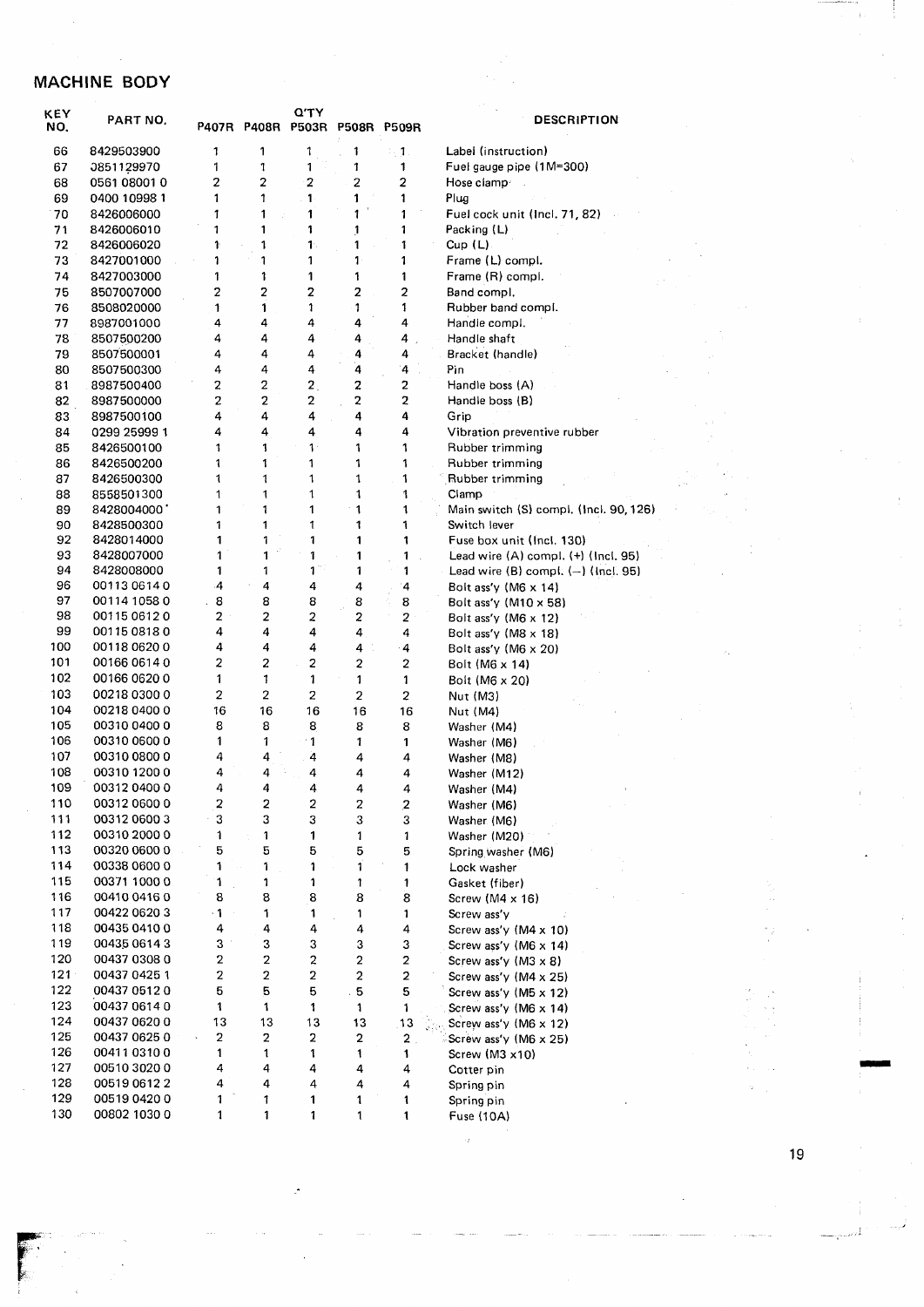### MACHINE BODY

| KEY<br>NO. | PART NO.     | P407R          | <b>P408R</b>            | יו ש<br><b>P503R</b>    | <b>P508R</b>            | <b>P509R</b>            | <b>DES</b>                   |
|------------|--------------|----------------|-------------------------|-------------------------|-------------------------|-------------------------|------------------------------|
| 66         | 8429503900   | 1              | 1                       | 1                       | 1                       | 2. J                    | Label (instruction)          |
| 67         | 0851129970   | 1              | 1                       | 1                       | 1                       | 1                       | Fuel gauge pipe (1M=         |
| 68         | 0561 08001 0 | 2              | $\overline{2}$          | $\overline{\mathbf{c}}$ | $\overline{2}$          | $\overline{a}$          | Hose clamp/                  |
| 69         | 0400 10998 1 | 1              | 1                       | 1                       | 1                       | 1                       | Plug                         |
| 70         | 8426006000   | 1              | 1                       | 1                       | 1                       | 1                       | Fuel cock unit (Incl.        |
| 71         | 8426006010   | 1              | 1                       | 1                       | 1                       | 1                       | Packing (L)                  |
| 72         | 8426006020   | 1              | 1                       | 1.                      | 1                       | 1                       | Cup(L)                       |
| 73         | 8427001000   | 1              | 1                       | 1                       | 1.                      | 1                       | Frame (L) compl.             |
| 74         | 8427003000   | 1              | 1                       | 1                       | 1                       | 1                       | Frame (R) compl.             |
| 75         | 8507007000   | $\overline{2}$ | $\overline{\mathbf{c}}$ | 2                       | $\overline{\mathbf{2}}$ | $\overline{a}$          | Band compl.                  |
| 76         | 8508020000   | 1              | 1                       | 1                       | 1                       | 1                       | Rubber band compl.           |
| 77         | 8987001000   | 4              | 4                       | 4                       | 4                       | 4                       | Handle compi.                |
| 78         | 8507500200   | 4              | 4                       | 4                       | 4                       | 4                       | Handle shaft                 |
| 79         | 8507500001   | 4              | 4                       | 4                       | 4                       | 4                       | Bracket (handle)             |
| 80         | 8507500300   | 4              | 4                       | 4                       | 4                       | 4                       | Pin                          |
| 81         | 8987500400   | 2              | $\overline{c}$          | $\overline{2}$ .        | $\overline{c}$          | $\overline{\mathbf{c}}$ | Handle boss (A)              |
| 82         | 8987500000   | 2              | $\overline{\mathbf{c}}$ | 2                       | $\overline{2}$          | $\overline{\mathbf{c}}$ | Handie boss (B)              |
| 83         | 8987500100   | 4              | 4                       | 4                       | 4                       | 4                       | Grip                         |
| 84         | 0299 25999 1 | 4              | 4                       | 4                       | 4                       | 4                       | Vibration preventive         |
| 85         | 8426500100   | 1              | 1                       | $1 -$                   | 1                       | 1                       | Rubber trimming              |
| 86         | 8426500200   | 1              | 1                       | 1                       | 1                       | 1                       | Rubber trimming              |
| 87         | 8426500300   | 1              | 1                       | 1                       | 1                       | 1                       | Rubber trimming              |
| 88         | 8558501300   | 1              | 1                       | 1                       | 1                       | 1                       | Clamp                        |
| 89         | 8428004000   | 1              | 1                       | 1                       | 1                       | 1                       | Main switch (S) com          |
| 90         | 8428500300   | 1              | 1                       | 1                       | 1                       | 1                       | Switch lever                 |
| 92         | 8428014000   | 1              | 1                       | 1                       | 1                       | 1                       | Fuse box unit (Incl.         |
| 93         | 8428007000   | 1              | 1                       | 1                       | 1                       | 1                       | Lead wire (A) compl          |
| 94         | 8428008000   | 1              | 1                       | $1^{\circ}$             | 1                       | 1                       | Lead wire (B) compl          |
| 96         | 00113 0614 0 | 4              | 4                       | 4                       | 4                       | 4                       | Bolt ass'y (M6 x 14)         |
| 97         | 00114 1058 0 | 8              | 8                       | 8                       | 8                       | 8                       | Bolt ass'y $(M10 \times 58)$ |
| 98         | 00115 0612 0 | 2              | 2                       | $\overline{a}$          | 2                       | 2                       | Bolt ass'y (M6 x 12)         |
| 99         | 0011508180   | 4              | 4                       | 4                       | 4                       | 4                       | Bolt ass'y (M8 x 18)         |
| 100        | 00118 0620 0 | 4              | 4                       | 4                       | 4                       | $\cdot$ 4               | Bolt ass'y (M6 x 20)         |
| 101        | 00166 0614 0 | 2              | $\overline{c}$          | $\overline{\mathbf{c}}$ | $\overline{\mathbf{c}}$ | 2                       | Bolt (M6 x 14)               |
| 102        | 00166 0620 0 | 1              | 1                       | 1                       | 1                       | 1                       | Bolt (M6 x 20)               |
| 103        | 00218 0300 0 | $\overline{2}$ | $\overline{2}$          | $\overline{c}$          | 2                       | 2                       | Nut (M3)                     |
| 104        | 00218 0400 0 | 16             | 16                      | 16                      | 16                      | 16                      | Nut (M4)                     |
| 105        | 00310 0400 0 | 8              | 8                       | 8                       | 8                       | 8                       | Washer (M4)                  |
| 106        | 00310 0600 0 | 1              | 1                       | 1                       | 1                       | 1                       | Washer (M6)                  |
| 107        | 00310 0800 0 | 4              | 4                       | 4                       | 4                       | 4                       | Washer (M8)                  |
| 108        | 00310 1200 0 | 4              | 4                       | 4                       | 4                       | 4                       | Washer (M12)                 |
| 109        | 00312 0400 0 | 4              | 4                       | 4                       | 4                       | 4                       | Washer (M4)                  |
| 110        | 00312 0600 0 | $\overline{2}$ | $\overline{2}$          | $\overline{2}$          | $\overline{2}$          | 2                       | Washer (M6)                  |
| 111        | 0031206003   | 3              | 3                       | 3                       | 3                       | 3                       | Washer (M6)                  |
| 112        | 00310 2000 0 | 1              | 1                       | 1                       | 1                       | 1                       | Washer (M20)                 |
| 113        | 00320 0600 0 | 5              | 5                       | 5                       | 5                       | 5                       | Spring washer (M6)           |
| 114        | 00338 0600 0 | 1              | 1                       | 1                       | $\mathbf{1}$            | 1                       | Lock washer                  |
| 115        | 00371 1000 0 | 1              | 1                       | 1                       | 1                       | 1                       | Gasket (fiber)               |
| 116        | 00410 0416 0 | 8              | 8                       | 8                       | 8                       | 8                       | Screw (M4 $\times$ 16)       |
| 117        | 00422 0620 3 | $\cdot$ 1      | 1                       | 1                       | 1                       | 1                       | Screw ass'y                  |
| 118        | 00435 0410 0 | 4              | 4                       | 4                       | 4                       | 4                       | Screw ass'y (M4 x 10         |
| 119        | 00435 0614 3 | 3              | 3                       | 3                       | 3                       | 3                       | Screw ass'y (M6 x 14         |
| 120        | 00437 0308 0 | 2              | $\mathbf 2$             | $\overline{\mathbf{c}}$ | $\mathbf 2$             | $\mathbf{2}$            | Screw ass'y $(M3 \times 8)$  |
| $121 -$    | 00437 0425 1 | 2              | $\overline{\mathbf{c}}$ | $\mathbf 2$             | $\boldsymbol{2}$        | $\mathbf 2$             | Screw ass'y (M4 x 25         |
| 122        | 00437 0512 0 | 5              | 5                       | 5                       | . 5                     | 5                       | Screw ass'y (M5 x 12         |
| 123        | 00437 0614 0 | 1              | 1                       | 1                       | 1                       | 1                       | Screw ass'y (M6 x 14         |
| 124        | 00437 0620 0 | 13             | 13                      | 13                      | 13                      | 13                      | Screw ass'y (M6 x 12         |
| 125        | 00437 0625 0 | 2              | 2                       | 2                       | 2                       | $\overline{2}$          | Screw ass'y (M6 x 25         |
| 126        | 00411 0310 0 | 1              | $\mathbf{1}$            | 1                       | 1                       | 1                       | Screw (M3 x10)               |
| 127        | 0051030200   | 4              | 4                       | 4                       | 4                       | 4                       | Cotter pin                   |
| 128        | 00519 0612 2 | 4              | 4                       | 4                       | 4                       | 4                       | Spring pin                   |
| 129        | 00519 0420 0 | 1              | 1                       | 1                       | 1                       | 1                       | Spring pin                   |
| 130        | 00802 1030 0 | 1              | 1                       | $\mathbf{1}$            | 1                       | 1                       | Fuse (10A)                   |

**CRIPTION** 

-300) 71, 82) rubber  $\mathbb{R}^3$ ipi. (Inci. 90, 126) , 130)<br>sl. (+) (Incl. 95)<br>il. (--) (Incl. 95) 3) 0)<br>4) 5)<br>2)<br>4)<br>2)<br>5)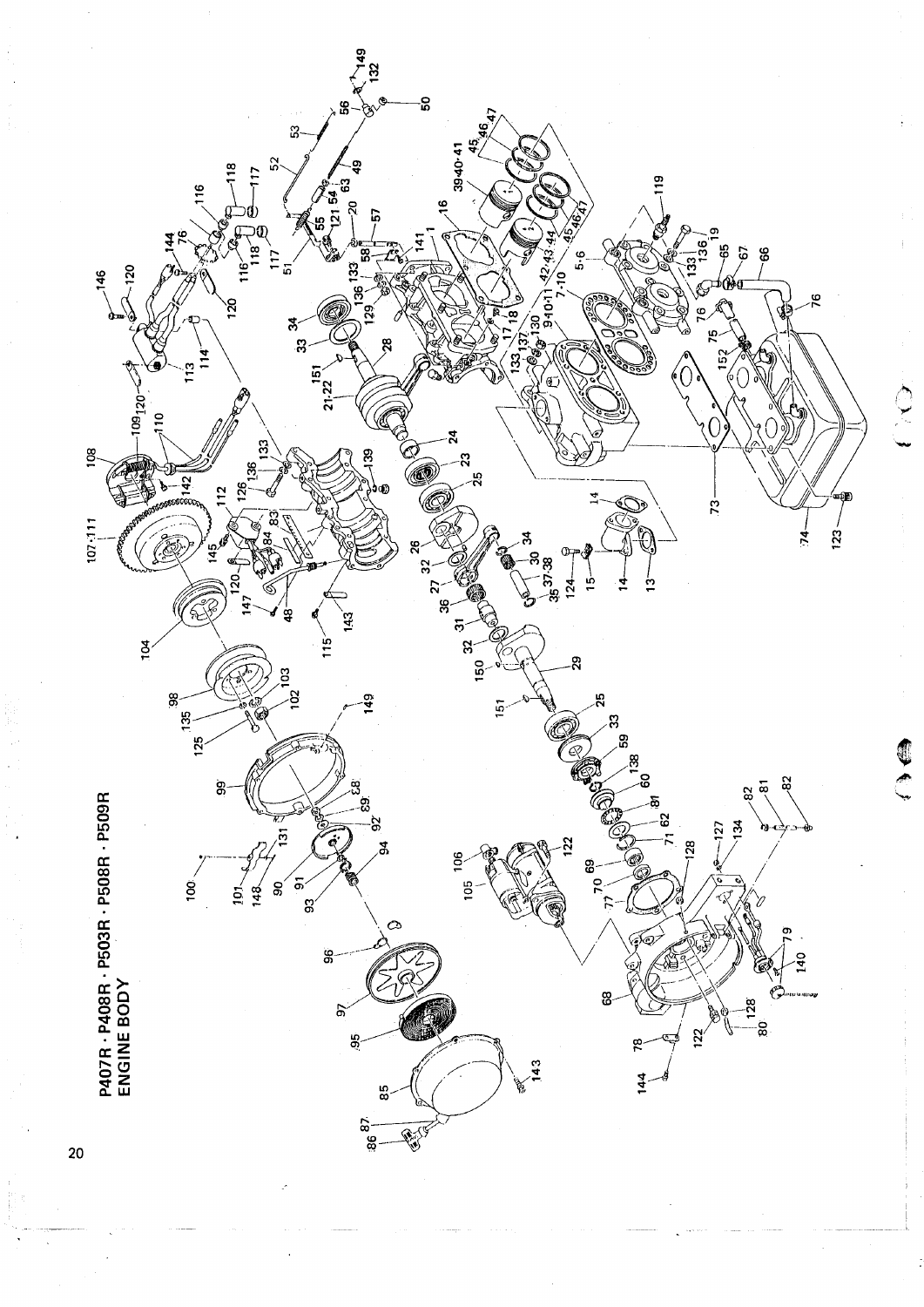

CO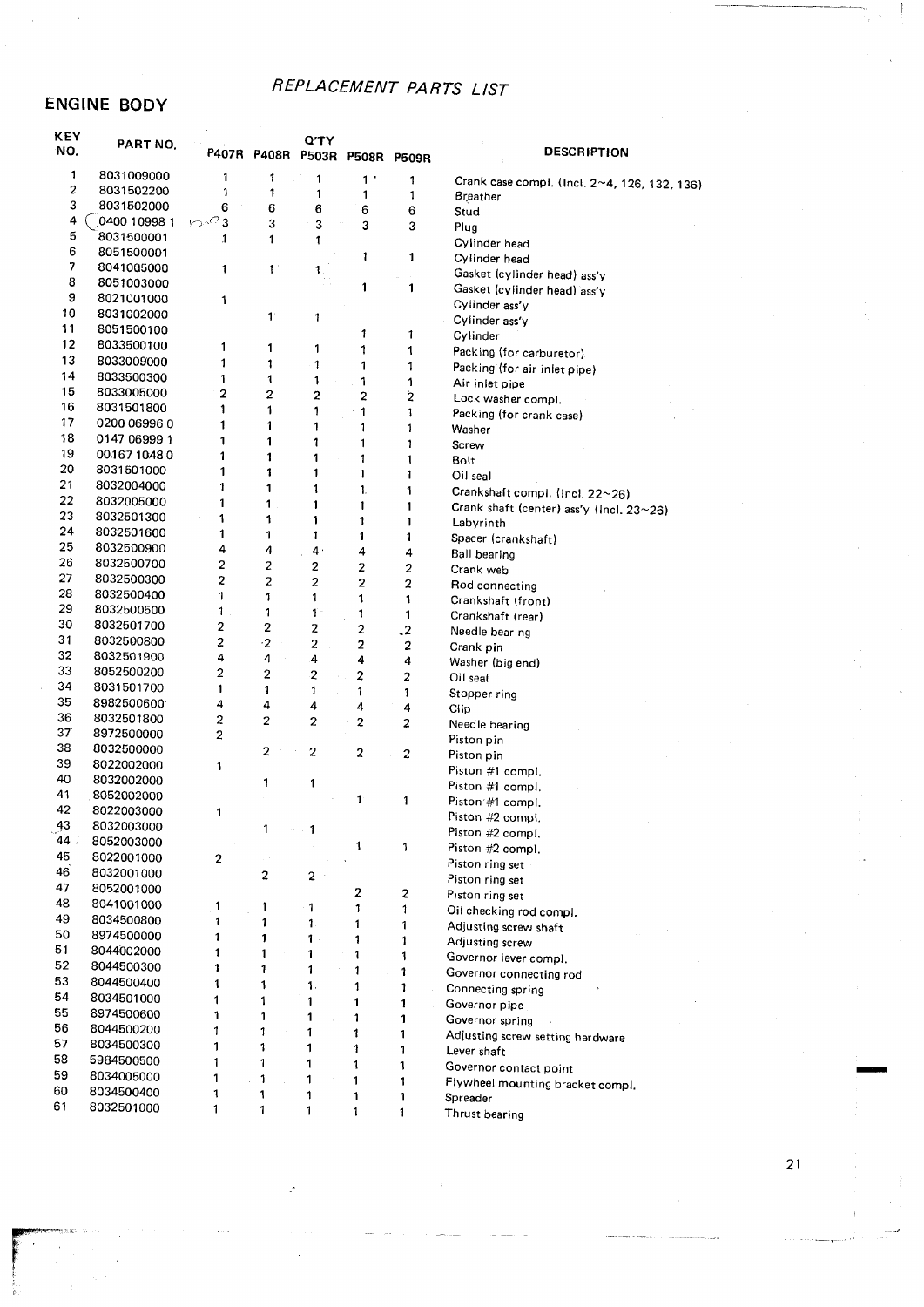#### **ENGINE BODY**

| KEY<br>NO. | PART NO.                 |                         | P407R P408R          | Q'TY           | <b>P503R P508R</b> | <b>P509R</b>   | <b>DESCRIPTION</b>                           |
|------------|--------------------------|-------------------------|----------------------|----------------|--------------------|----------------|----------------------------------------------|
| 1          | 8031009000               | 1                       | 1                    | 1              | $1$ .              | 1              | Crank case compl. (Incl. 2~4, 126, 132, 136) |
| 2          | 8031502200               | 1                       | 1                    | 1              | 1                  | 1              | Breather                                     |
| 3          | 8031502000               | 6                       | 6                    | 6              | 6                  | 6              | Stud                                         |
| 4          | 0400 10998 1             | ∽∙ె 3                   | 3                    | 3              | 3                  | 3              | Plug                                         |
| 5          | 8031500001               | 1                       | 1                    | 1              |                    |                | Cylinder head                                |
| 6          | 8051500001               |                         |                      |                | 1                  | 1              | Cylinder head                                |
| 7          | 8041005000               | 1                       | $\mathbf{1}$         | 1.             |                    |                | Gasket (cylinder head) ass'y                 |
| 8          | 8051003000               |                         |                      |                | 1                  | 1              | Gasket (cylinder head) ass'y                 |
| 9          | 8021001000               | 1                       |                      |                |                    |                | Cylinder ass'y                               |
| 10         | 8031002000               |                         | $\mathbf{1}^{\circ}$ | 1              |                    |                | Cylinder ass'y                               |
| 11         | 8051500100               |                         |                      |                | 1                  | 1              | Cylinder                                     |
| 12         | 8033500100               | 1                       | 1                    | 1              | 1                  | 1              | Packing (for carburetor).                    |
| 13         | 8033009000               | 1                       | 1                    | 1              | 1                  | 1              | Packing (for air inlet pipe)                 |
| 14         | 8033500300               | 1                       | 1                    | 1              | 1                  | 1              | Air inlet pipe                               |
| 15         | 8033005000               | $\overline{\mathbf{2}}$ | $\mathbf{z}$         | 2              | 2                  | 2              | Lock washer compl.                           |
| 16         | 8031501800               | 1                       | 1                    | 1              | 1                  | 1              | Packing (for crank case)                     |
| 17         | 0200 06996 0             | 1                       | 1                    | 1              | 1                  | 1              | Washer                                       |
| 18         | 0147 06999 1             | 1                       | 1                    | 1              | 1                  | 1              | Screw                                        |
| 19         | 0016710480               | 1                       | 1                    | 1              | 1                  | 1              | Bolt                                         |
| 20         | 8031501000               | 1                       | 1                    | 1              | 1                  | 1              | Oil seal                                     |
| 21         | 8032004000               | 1                       | 1                    | 1              | 1.                 | 1              | Crankshaft compl. (Incl. 22~26)              |
| 22         | 8032005000               | 1                       | 1                    | 1              | 1                  | 1              | Crank shaft (center) ass'y (Incl. 23~26)     |
| 23         | 8032501300               | 1                       | 1                    | 1              | 1                  | $\mathbf{1}$   | Labyrinth                                    |
| 24         | 8032501600               | 1                       | 1                    | 1              | 1                  | 1              | Spacer (crankshaft)                          |
| 25         | 8032500900               | 4                       | 4                    | $4 \cdot$      | 4                  | 4              | <b>Ball bearing</b>                          |
| 26         | 8032500700               | $\mathbf{2}$            | 2                    | 2              | 2                  | $\overline{a}$ | Crank web                                    |
| 27         | 8032500300               | $\overline{c}$          | 2                    | $\overline{c}$ | $\overline{a}$     | 2              | Rod connecting                               |
| 28         | 8032500400               | 1                       | 1                    | 1              | 1                  | 1              | Crankshaft (front)                           |
| 29         | 8032500500               | 1                       | 1                    | $\mathbf{1}$   | 1                  | 1              | Crankshaft (rear)                            |
| 30         | 8032501700               | 2                       | 2                    | 2              | 2                  | $\cdot$        | Needle bearing                               |
| 31         | 8032500800               | 2                       | $\cdot$ 2            | $\overline{a}$ | 2                  | 2              | Crank pin                                    |
| 32         | 8032501900               | 4                       | 4                    | 4              | 4                  | 4              | Washer (big end)                             |
| 33         | 8052500200               | $\overline{2}$          | 2                    | $\overline{c}$ | 2                  | $\overline{a}$ | Oil seal                                     |
| 34         | 8031501700               | 1                       | 1                    | 1              | 1                  | 1              | Stopper ring                                 |
| 35         | 8982500600               | $\overline{4}$          | 4                    | 4              | 4                  | 4              | Clip                                         |
| 36         | 8032501800               | $\overline{c}$          | $\overline{2}$       | 2              | $\overline{2}$     | 2              | Needle bearing                               |
| 37<br>38   | 8972500000               | $\overline{a}$          |                      |                |                    |                | Piston pin                                   |
| 39         | 8032500000               |                         | 2                    | 2              | $\overline{a}$     | 2              | Piston pin                                   |
| 40         | 8022002000               | 1                       |                      |                |                    |                | Piston #1 compl.                             |
| 41         | 8032002000               |                         | 1                    | 1              |                    |                | Piston #1 compl.                             |
| 42         | 8052002000<br>8022003000 |                         |                      |                | 1                  | 1              | Piston #1 compl.                             |
| 43         | 8032003000               | 1                       |                      |                |                    |                | Piston #2 compl.                             |
| 44 /       | 8052003000               |                         | 1                    | 1              |                    |                | Piston #2 compl.                             |
| 45         | 8022001000               |                         |                      |                | 1                  | 1              | Piston #2 compl.                             |
| 46         | 8032001000               | $\overline{\mathbf{c}}$ |                      |                |                    |                | Piston ring set                              |
| 47         |                          |                         | 2                    | $\mathbf 2$    |                    |                | Piston ring set                              |
| 48         | 8052001000               |                         |                      |                | 2                  | 2              | Piston ring set                              |
| 49         | 8041001000<br>8034500800 | $\mathbf{1}$            | 1                    | 1              | 1                  | 1              | Oil checking rod compl.                      |
| 50         | 8974500000               | 1                       | 1                    | 1.             | 1                  | 1              | Adjusting screw shaft                        |
| 51         |                          | 1                       | 1                    | 1              | 1                  | 1              | Adjusting screw                              |
| 52         | 8044002000               | 1                       | 1                    | 1              | 1                  | 1              | Governor lever compl.                        |
| 53         | 8044500300<br>8044500400 | 1                       | 1                    | 1              | 1                  | 1              | Governor connecting rod                      |
|            |                          | 1                       | 1                    | $\mathbf{1}$ . | 1                  | 1              | Connecting spring                            |
| 54<br>55   | 8034501000<br>8974500600 | 1                       | 1                    | 1              | 1                  | 1              | Governor pipe                                |
| 56         |                          | 1                       | 1                    | 1              | $\mathbf{1}$       | 1              | Governor spring                              |
| 57         | 8044500200<br>8034500300 |                         | 1                    | 1              | 1                  | 1              | Adjusting screw setting hardware             |
| 58         |                          | 1                       | 1                    | 1              | 1                  | 1              | Lever shaft                                  |
| 59         | 5984500500               | 1                       | 1                    | 1              | 1                  | 1              | Governor contact point                       |
| 60         | 8034005000<br>8034500400 | 1                       | 1                    | 1              | 1                  | 1              | Flywheel mounting bracket compl.             |
| 61         |                          | 1                       | 1                    | 1              | 1                  | 1              | Spreader                                     |
|            | 8032501000               | 1                       | 1                    | 1              | 1                  | 1              | Thrust bearing                               |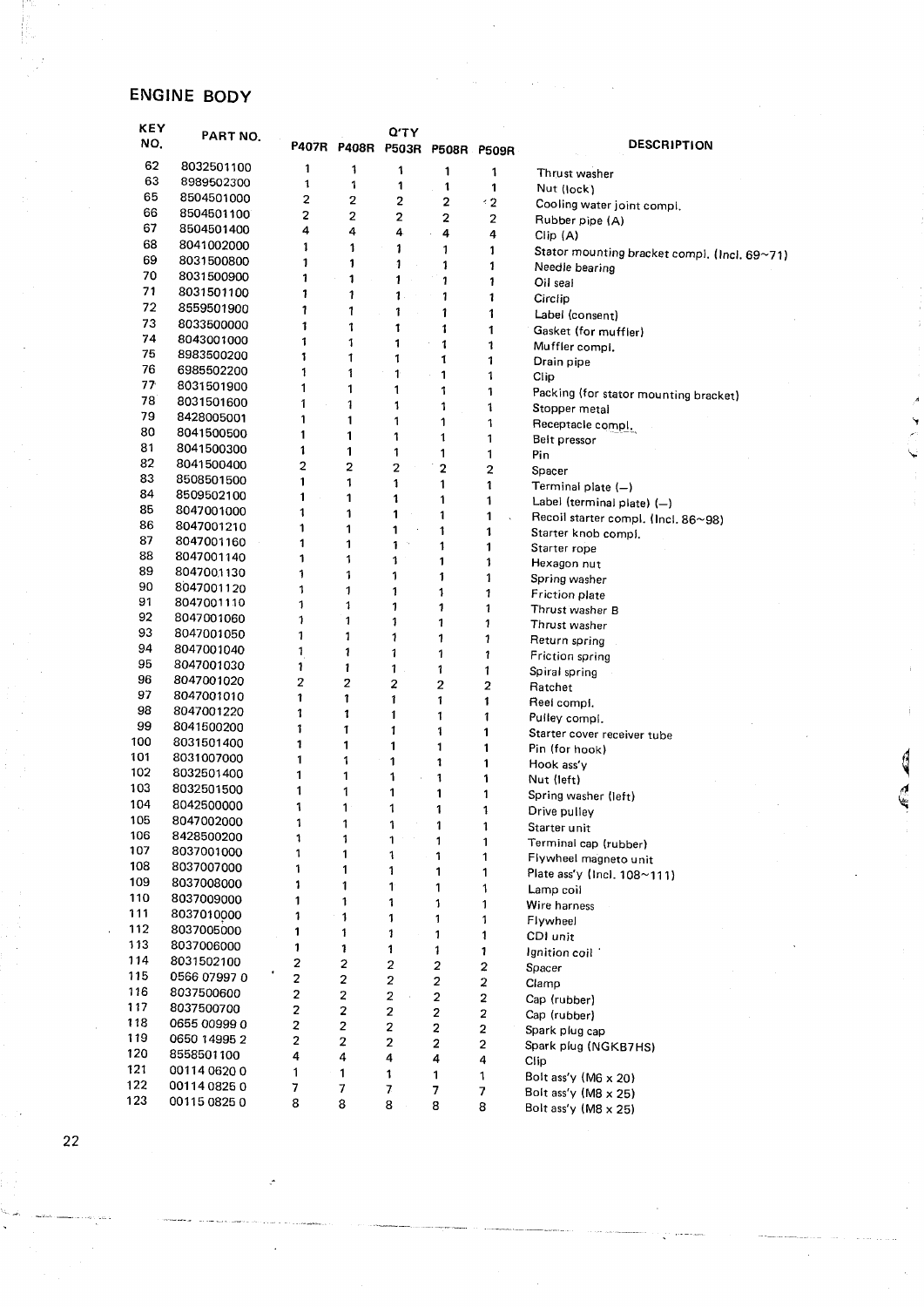#### ENGINE BODY

| <b>KEY</b><br>NO. | PART NO.                 |                         |                         | Q'TY                    | P407R P408R P503R P508R P509R |             | <b>DESCRIPTION</b>                           |
|-------------------|--------------------------|-------------------------|-------------------------|-------------------------|-------------------------------|-------------|----------------------------------------------|
| 62                | 8032501100               | 1                       | 1                       | 1                       | 1                             | 1           | Thrust washer                                |
| 63                | 8989502300               | 1                       | 1                       | 1                       | 1                             | 1           | Nut (lock)                                   |
| 65                | 8504501000               | 2                       | 2                       | 2                       | 2                             | 12          | Cooling water joint compl.                   |
| 66                | 8504501100               | 2                       | 2                       | $\overline{2}$          | 2                             | 2           | Rubber pipe (A)                              |
| 67                | 8504501400               | 4                       | 4                       | 4                       | 4                             | 4           | Clip (A)                                     |
| 68                | 8041002000               | 1                       | 1                       | 1                       | 1                             | 1           | Stator mounting bracket compl. (Incl. 69~71) |
| 69                | 8031500800               | 1                       | 1                       | $\ddot{\phantom{0}}$    | 1                             | 1           | Needle bearing                               |
| 70                | 8031500900               | 1                       | 1                       | 1                       | 1                             | 1           | Oil seal                                     |
| 71                | 8031501100               | 1                       | 1                       | $\mathbf 1$             | 1                             | 1           | Circlip                                      |
| 72                | 8559501900               | 1                       | 1                       | 1                       | 1                             | 1           | Label (consent)                              |
| 73                | 8033500000               | 1                       | 1                       | 1                       | 1                             | 1           | Gasket (for muffler)                         |
| 74                | 8043001000               | 1                       | 1                       | 1                       | 1                             | 1           | Muffler compi.                               |
| 75                | 8983500200               | 1                       | 1                       | 1                       | 1                             | 1           | Drain pipe                                   |
| 76                | 6985502200               | 1                       | 1                       | 1                       | 1                             | 1           | Clip                                         |
| 77                | 8031501900               | 1                       | 1                       | 1                       | 1                             | 1           | Packing (for stator mounting bracket)        |
| 78                | 8031501600               | 1                       | 1                       | 1                       | 1                             | 1           | Stopper metal                                |
| 79                | 8428005001               | 1                       | 1                       | 1                       | 1                             | 1           | Receptacle compl.                            |
| 80                | 8041500500               | 1                       | 1                       | 1                       | 1                             | 1           | Belt pressor                                 |
| 81                | 8041500300               | 1                       | 1                       | 1                       | 1                             | 1           | Pin                                          |
| 82                | 8041500400               | $\overline{c}$          | 2                       | $\overline{2}$          | $\overline{2}$                | 2           | Spacer                                       |
| 83                | 8508501500               | 1                       | 1                       | 1                       | 1                             | 1           | Terminal plate (-)                           |
| 84                | 8509502100               | $\mathbf{1}$            | 1                       | 1                       | 1                             | 1           | Label (terminal plate) (-)                   |
| 85                | 8047001000               | 1                       | 1                       | 1                       | 1                             | 1           | Recoil starter compl. (Incl. 86~98)          |
| 86                | 8047001210               | 1                       | 1                       | 1                       | 1                             | 1           | Starter knob compl.                          |
| 87                | 8047001160               | 1                       | 1                       | 1                       | 1                             | 1           | Starter rope                                 |
| 88<br>89          | 8047001140               | 1                       | 1                       | 1                       | 1                             | 1           | Hexagon nut                                  |
| 90                | 8047001130               | 1                       | 1                       | 1                       | 1                             | 1           | Spring washer                                |
| 91                | 8047001120               | 1                       | 1                       | 1                       | 1                             | 1           | <b>Friction plate</b>                        |
| 92                | 8047001110               | 1                       | 1                       | 1                       | 1                             | 1           | Thrust washer B                              |
| 93                | 8047001060<br>8047001050 | 1                       | 1                       | 1                       | 1                             | 1           | Thrust washer                                |
| 94                | 8047001040               | 1                       | $\mathbf{1}$            | 1                       | 1                             | 1           | Return spring                                |
| 95                | 8047001030               | 1                       | 1                       | 1                       | 1                             | 1           | Friction spring                              |
| 96                | 8047001020               | 1<br>2                  | 1                       | 1                       | 1                             | 1           | Spiral spring                                |
| 97                | 8047001010               | 1                       | 2<br>1                  | 2                       | 2                             | 2           | Ratchet                                      |
| 98                | 8047001220               | 1                       | 1                       | 1                       | 1                             | 1           | Reel compi.                                  |
| 99                | 8041500200               | 1                       | 1                       | 1<br>1                  | 1                             | 1           | Pulley compi.                                |
| 100               | 8031501400               | 1                       | 1                       | 1                       | 1                             | 1           | Starter cover receiver tube                  |
| 101               | 8031007000               | 1                       | 1                       | 1                       | 1<br>1                        | 1           | Pin (for hook)                               |
| 102               | 8032501400               | 1                       | 1                       | 1                       | 1                             | 1<br>1      | Hook ass'y                                   |
| 103               | 8032501500               | 1                       | 1                       | 1                       | 1                             | 1           | Nut (left)                                   |
| 104               | 8042500000               | 1                       | 1                       | 1                       | 1                             |             | Spring washer (left)                         |
| 105               | 8047002000               | 1                       | 1                       | 1                       | 1                             | 1           | Drive pulley                                 |
| 106               | 8428500200               | 1                       | 1                       | 1                       | 1                             | 1<br>1      | Starter unit                                 |
| 107               | 8037001000               | 1                       | 1                       | 1                       | 1                             | 1           | Terminal cap (rubber)                        |
| 108               | 8037007000               | 1                       | 1                       | 1                       | 1                             | 1           | Flywheel magneto unit                        |
| 109               | 8037008000               | 1                       | 1                       | 1                       | 1                             | 1           | Plate ass'y (Incl. 108~111)                  |
| 110               | 8037009000               | 1                       | 1                       | 1                       | 1                             | 1           | Lamp coil<br>Wire harness                    |
| 111               | 8037010000               | 1                       | 1                       | 1                       | 1                             | 1           |                                              |
| 112               | 8037005000               | 1                       | 1                       | 1                       | 1                             | 1           | Flywheel<br>CDI unit                         |
| 113               | 8037006000               | 1                       | 1                       | 1                       | 1                             | 1           | Ignition coil                                |
| 114               | 8031502100               | 2                       | 2                       | $\boldsymbol{2}$        | 2                             | 2           | Spacer                                       |
| 115               | 0566 07997 0             | 2                       | $\overline{\mathbf{c}}$ | $\overline{\mathbf{c}}$ | 2                             | 2           | Clamp                                        |
| 116               | 8037500600               | $\overline{2}$          | 2                       | $\overline{\mathbf{c}}$ | 2                             | 2           | Cap (rubber)                                 |
| 117               | 8037500700               | $\overline{\mathbf{c}}$ | 2                       | $\boldsymbol{2}$        | 2                             | 2           | Cap (rubber)                                 |
| 118               | 0655 00999 0             | $\boldsymbol{2}$        | $\overline{\mathbf{c}}$ | 2                       | $\boldsymbol{2}$              | 2           | Spark plug cap                               |
| 119               | 0650 14995 2             | $\overline{\mathbf{c}}$ | 2                       | $\mathbf{2}$            | $\mathbf 2$                   | $\mathbf 2$ | Spark plug (NGKB7HS)                         |
| 120               | 8558501100               | 4                       | 4                       | 4                       | 4                             | 4           | Clip                                         |
| 121               | 00114 0620 0             | 1                       | 1                       | 1                       | 1                             | 1           | Bolt ass'y (M6 x 20)                         |
| 122               | 00114 0825 0             | 7                       | 7                       | 7                       | 7                             | 7           | Bolt ass'y (M8 x 25)                         |
| 123               | 00115 0825 0             | 8                       | 8                       | 8                       | 8                             | 8           | Bolt ass'y (M8 $\times$ 25)                  |

đ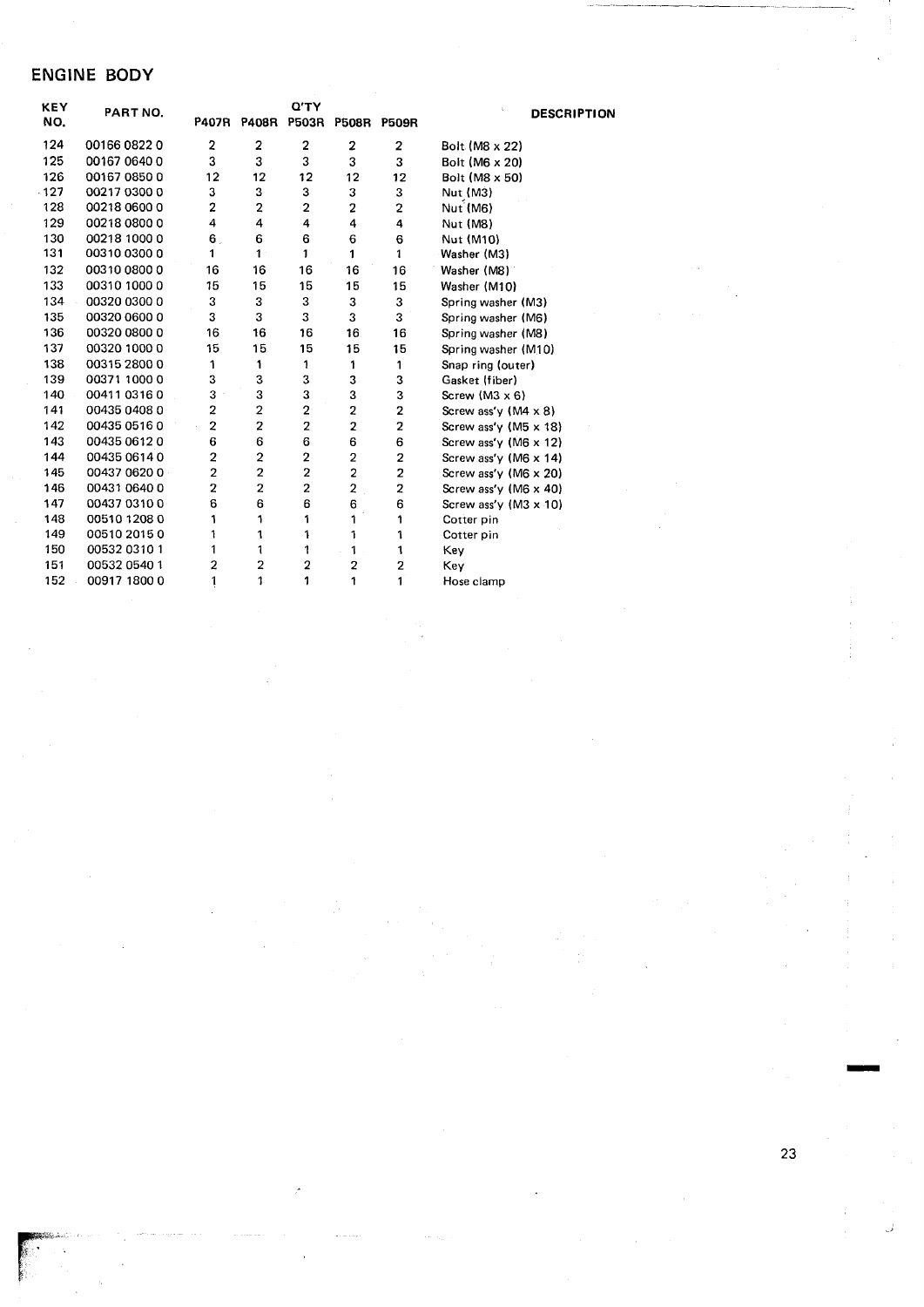## ENGlNE BODY

| KEY | PART NO.     |                         |                         | Q'TY                    | <b>DESCRIPTION</b>      |                         |                              |
|-----|--------------|-------------------------|-------------------------|-------------------------|-------------------------|-------------------------|------------------------------|
| NO. |              | <b>P407R</b>            | <b>P408R</b>            | <b>P503R</b>            | P508R P509R             |                         |                              |
| 124 | 00166 0822 0 | 2                       | 2                       | 2                       | 2                       | 2                       | Bolt (M8 x 22)               |
| 125 | 00167 0640 0 | 3                       | 3                       | 3                       | 3                       | 3                       | Bolt (M6 x 20)               |
| 126 | 00167 0850 0 | 12                      | 12                      | 12                      | 12                      | 12                      | Bolt (M8 x 50)               |
| 127 | 00217 0300 0 | 3                       | 3                       | 3                       | 3                       | 3                       | Nut (M3)                     |
| 128 | 00218 0600 0 | $\overline{2}$          | $\overline{2}$          | $\overline{a}$          | $\overline{2}$          | 2                       | Nut (M6)                     |
| 129 | 00218 0800 0 | 4                       | 4                       | 4                       | 4                       | 4                       | Nut (M8)                     |
| 130 | 00218 1000 0 | 6.                      | 6                       | 6                       | 6                       | 6                       | Nut (M10)                    |
| 131 | 00310 0300 0 | 1                       | 1 <sup>1</sup>          | 1                       | 1                       | 1                       | Washer (M3)                  |
| 132 | 00310 0800 0 | 16                      | 16                      | 16                      | 16                      | 16                      | Washer (M8)                  |
| 133 | 00310 1000 0 | 15                      | 15                      | 15                      | 15                      | 15                      | Washer (M10)                 |
| 134 | 00320 0300 0 | 3                       | 3                       | 3                       | 3                       | 3                       | Spring washer (M3)           |
| 135 | 00320 0600 0 | 3                       | 3                       | 3                       | 3                       | 3                       | Spring washer (M6)           |
| 136 | 00320 0800 0 | 16                      | 16                      | 16                      | 16                      | 16                      | Spring washer (M8)           |
| 137 | 00320 1000 0 | 15                      | 15                      | 15                      | 15                      | 15                      | Spring washer (M10)          |
| 138 | 00315 2800 0 | 1                       | 1                       | 1                       | 1                       | 1                       | Snap ring (outer)            |
| 139 | 00371 1000 0 | 3                       | 3                       | 3                       | 3                       | 3                       | Gasket (fiber)               |
| 140 | 00411 0316 0 | з                       | 3                       | 3                       | 3                       | 3                       | Screw $(M3 \times 6)$        |
| 141 | 00435 0408 0 | 2                       | 2                       | 2                       | 2                       | $\mathbf 2$             | Screw ass'y $(M4 \times 8)$  |
| 142 | 00435 0516 0 | $\overline{\mathbf{c}}$ | $\overline{\mathbf{c}}$ | $\overline{\mathbf{2}}$ | 2                       | $\overline{\mathbf{c}}$ | Screw ass'y (M5 $\times$ 18) |
| 143 | 00435 0612 0 | 6                       | 6                       | 6                       | 6                       | 6                       | Screw ass'y (M6 x 12)        |
| 144 | 00435 0614 0 | $\overline{a}$          | $\overline{\mathbf{c}}$ | $\mathbf 2$             | 2                       | 2                       | Screw ass'y (M6 $\times$ 14) |
| 145 | 00437 0620 0 | 2                       | 2                       | 2                       | $\overline{\mathbf{2}}$ | $\overline{\mathbf{c}}$ | Screw ass'y (M6 x 20)        |
| 146 | 00431 0640 0 | $\overline{\mathbf{2}}$ | 2                       | 2                       | $\overline{\mathbf{c}}$ | 2                       | Screw ass'y (M6 x 40)        |
| 147 | 00437 0310 0 | 6                       | 6                       | 6                       | 6                       | 6                       | Screw ass'y $(M3 \times 10)$ |
| 148 | 00510 1208 0 | 1                       | 1                       | 1                       | 1                       | 1                       | Cotter pin                   |
| 149 | 00510 2015 0 | 1                       | 1                       | 1                       | 1                       | 1                       | Cotter pin                   |
| 150 | 00532 0310 1 | 1                       | 1                       | 1                       | 1                       | 1                       | Key                          |
| 151 | 00532 0540 1 | $\overline{2}$          | 2                       | $\boldsymbol{2}$        | $\overline{\mathbf{c}}$ | 2                       | Key                          |
| 152 | 00917 1800 0 | 1                       | 1                       | 1                       | 1                       | 1                       | Hose clamp                   |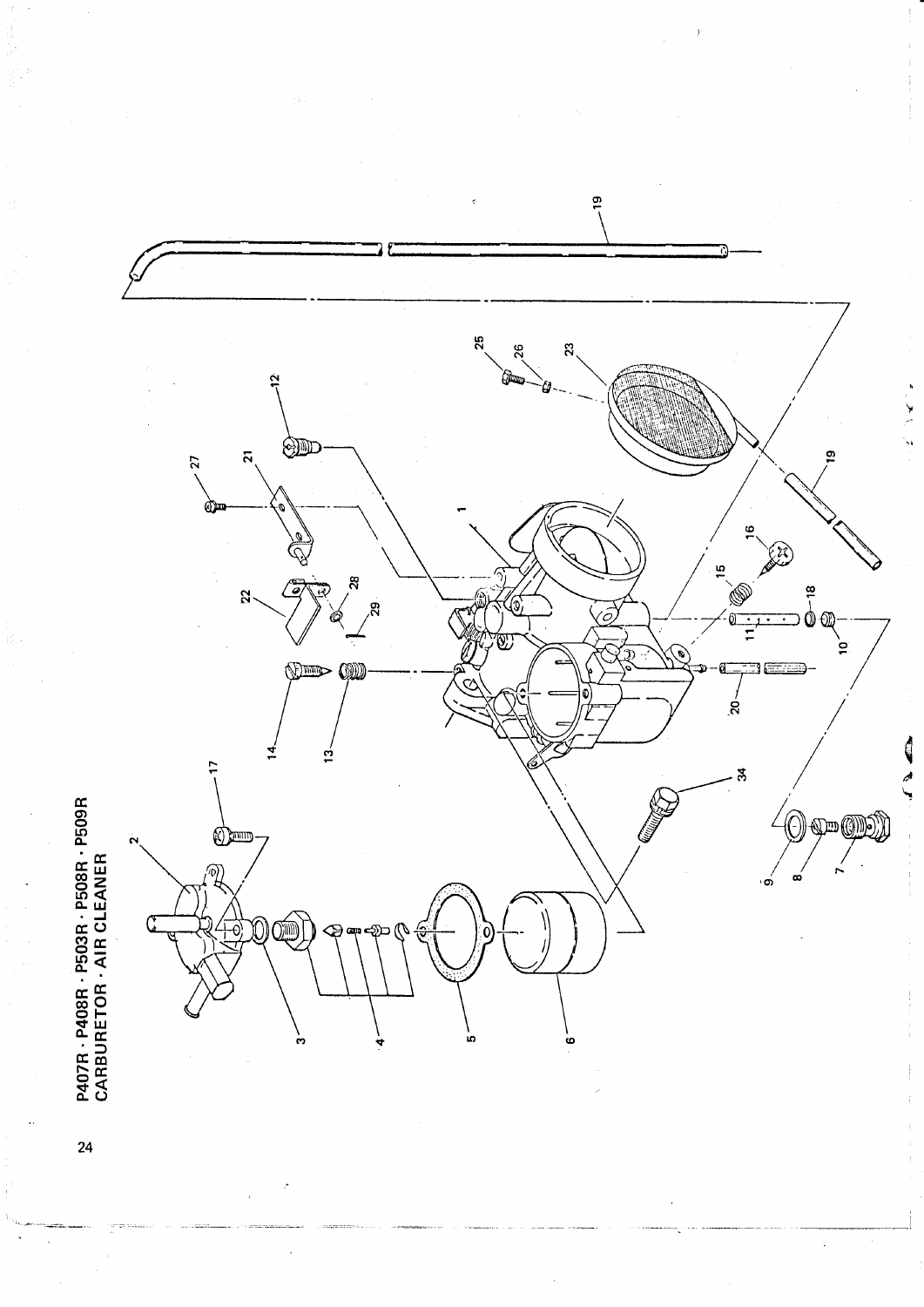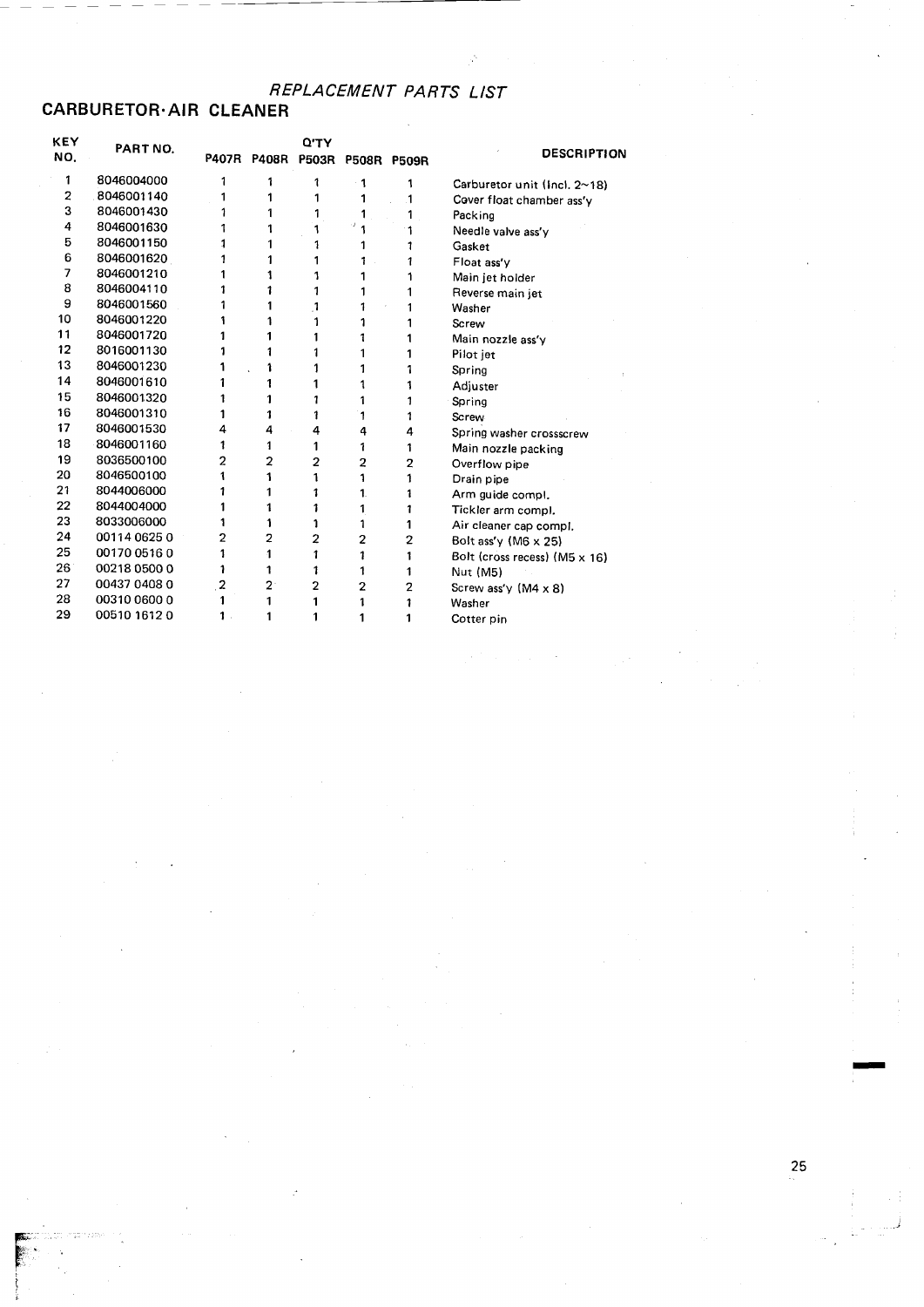## CARBURETOR·AIR CLEANER

| KEY<br>NO.              | <b>PART NO.</b> |   |                | <b>Q'TY</b><br>P407R P408R P503R |                | P508R P509R | <b>DESCRIPTION</b>            |
|-------------------------|-----------------|---|----------------|----------------------------------|----------------|-------------|-------------------------------|
| 1                       | 8046004000      | 1 | 1              | 1                                | 1              | 1           | Carburetor unit (Incl. 2~18)  |
| $\overline{\mathbf{c}}$ | 8046001140      | 1 |                |                                  | 1              | 1           | Cover float chamber ass'y     |
| 3                       | 8046001430      | 1 |                | 1                                | 1              |             | Packing                       |
| 4                       | 8046001630      |   |                |                                  | ٠              |             | Needle valve ass'y            |
| 5                       | 8046001150      | 1 |                |                                  |                |             | Gasket                        |
| 6                       | 8046001620      | 1 |                |                                  | 1              |             | Float ass'v                   |
| 7                       | 8046001210      |   |                |                                  |                |             | Main jet holder               |
| 8                       | 8046004110      |   |                | 1                                |                |             | Reverse main jet              |
| 9                       | 8046001560      | 1 |                | 1                                |                |             | Washer                        |
| 10                      | 8046001220      |   |                | 1                                |                |             | Screw                         |
| 11                      | 8046001720      |   |                |                                  | 1              |             | Main nozzle ass'y             |
| 12                      | 8016001130      | 1 |                | 1                                |                |             | Pilot jet                     |
| 13                      | 8046001230      |   |                | 1                                |                |             | Spring                        |
| 14                      | 8046001610      |   |                | 1                                |                |             | Adjuster                      |
| 15                      | 8046001320      | 1 |                | 1                                | 1              |             | Spring                        |
| 16                      | 8046001310      | 1 |                | 1                                | 1              |             | Screw                         |
| 17                      | 8046001530      | 4 | 4              | 4                                | 4              | 4           | Spring washer crossscrew      |
| 18                      | 8046001160      | 1 | 1              | 1                                | 1              | 1           | Main nozzle packing           |
| 19                      | 8036500100      | 2 | $\overline{2}$ | 2                                | 2              | 2           | Overflow pipe                 |
| 20                      | 8046500100      | 1 | 1              | 1                                | 1              | 1           | Drain pipe                    |
| 21                      | 8044006000      | 1 |                | 1                                | 1.             | 1           | Arm guide compl.              |
| 22                      | 8044004000      | 1 |                | 1                                | 1              | 1           | Tickler arm compl.            |
| 23                      | 8033006000      | 1 |                | 1                                | 1              |             | Air cleaner cap compl.        |
| 24                      | 00114 0625 0    | 2 | 2              | 2                                | 2              | 2           | Bolt ass'y (M6 x 25)          |
| 25                      | 00170 0516 0    | 1 | 1              | 1                                | 1              | 1           | Bolt (cross recess) (M5 x 16) |
| 26                      | 00218 0500 0    | 1 | 1              | 1                                | 1              | 1           | Nut (M5)                      |
| 27                      | 00437 0408 0    | 2 | 2              | 2                                | $\overline{2}$ | 2           | Screw ass'y $(M4 \times 8)$   |
| 28                      | 00310 0600 0    |   | 1              | 1                                | 1              | 1           | Washer                        |
| 29                      | 00510 1612 0    | 1 | 1              | 1                                |                | 1           | Cotter pin                    |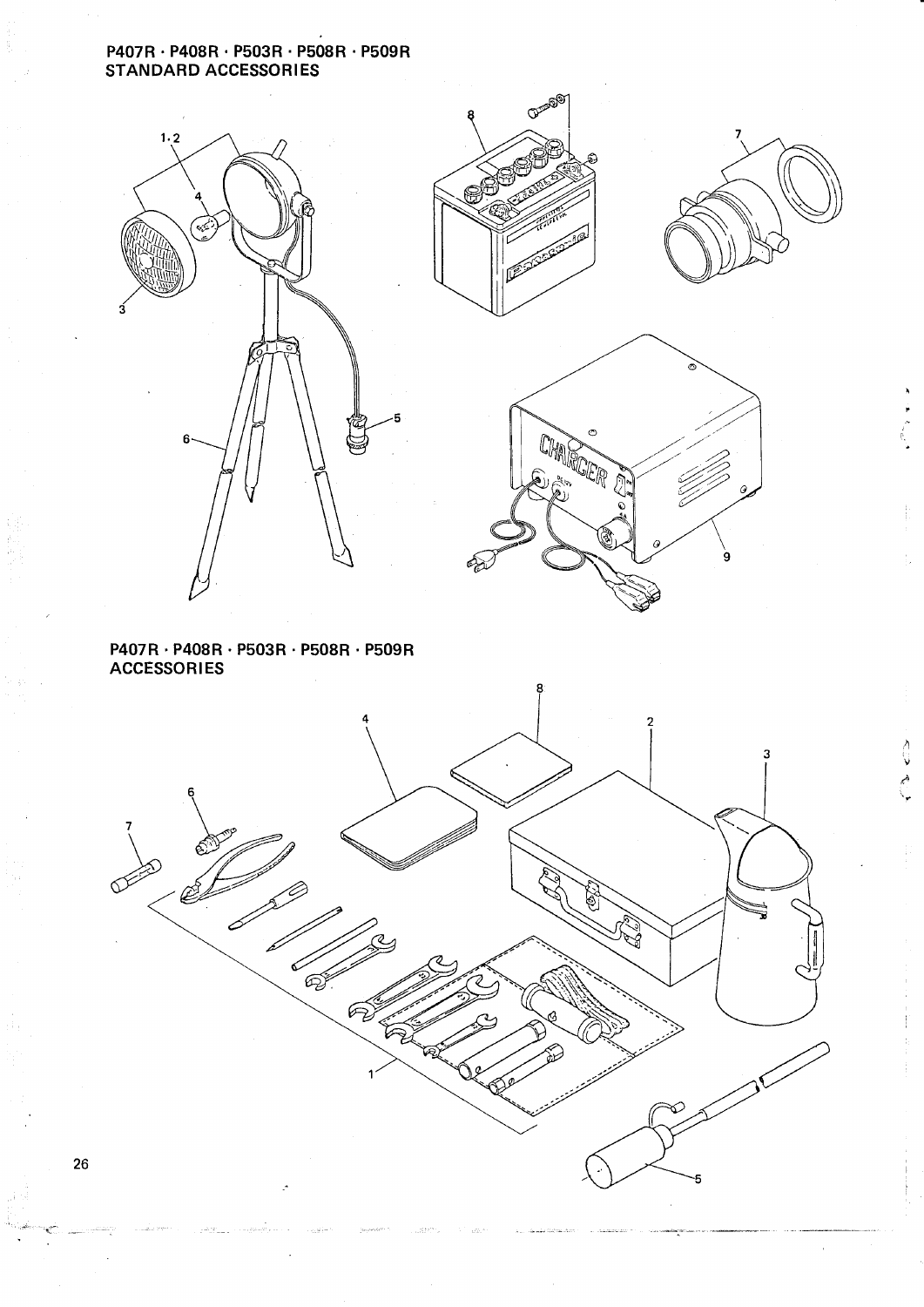#### P407R · P408R · P503R · P508R · P509R STANDARD ACCESSORlES







੍ਹੇ

م<br>م

 $\overline{\phantom{a}}$ 



#### $P407R \cdot P408R \cdot P503R \cdot P508R \cdot PS09R$ ACCESSORlES